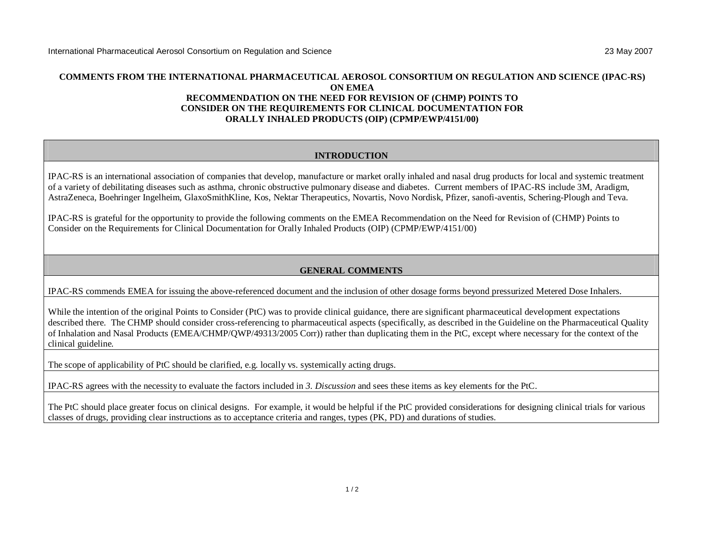## **COMMENTS FROM THE INTERNATIONAL PHARMACEUTICAL AEROSOL CONSORTIUM ON REGULATION AND SCIENCE (IPAC-RS) ON EMEA RECOMMENDATION ON THE NEED FOR REVISION OF (CHMP) POINTS TO CONSIDER ON THE REQUIREMENTS FOR CLINICAL DOCUMENTATION FOR ORALLY INHALED PRODUCTS (OIP) (CPMP/EWP/4151/00)**

## **INTRODUCTION**

IPAC-RS is an international association of companies that develop, manufacture or market orally inhaled and nasal drug products for local and systemic treatment of a variety of debilitating diseases such as asthma, chronic obstructive pulmonary disease and diabetes. Current members of IPAC-RS include 3M, Aradigm, AstraZeneca, Boehringer Ingelheim, GlaxoSmithKline, Kos, Nektar Therapeutics, Novartis, Novo Nordisk, Pfizer, sanofi-aventis, Schering-Plough and Teva.

IPAC-RS is grateful for the opportunity to provide the following comments on the EMEA Recommendation on the Need for Revision of (CHMP) Points to Consider on the Requirements for Clinical Documentation for Orally Inhaled Products (OIP) (CPMP/EWP/4151/00)

## **GENERAL COMMENTS**

IPAC-RS commends EMEA for issuing the above-referenced document and the inclusion of other dosage forms beyond pressurized Metered Dose Inhalers.

While the intention of the original Points to Consider (PtC) was to provide clinical guidance, there are significant pharmaceutical development expectations described there. The CHMP should consider cross-referencing to pharmaceutical aspects (specifically, as described in the Guideline on the Pharmaceutical Quality of Inhalation and Nasal Products (EMEA/CHMP/QWP/49313/2005 Corr)) rather than duplicating them in the PtC, except where necessary for the context of the clinical guideline.

The scope of applicability of PtC should be clarified, e.g. locally vs. systemically acting drugs.

IPAC-RS agrees with the necessity to evaluate the factors included in *3. Discussion* and sees these items as key elements for the PtC.

The PtC should place greater focus on clinical designs. For example, it would be helpful if the PtC provided considerations for designing clinical trials for various classes of drugs, providing clear instructions as to acceptance criteria and ranges, types (PK, PD) and durations of studies.